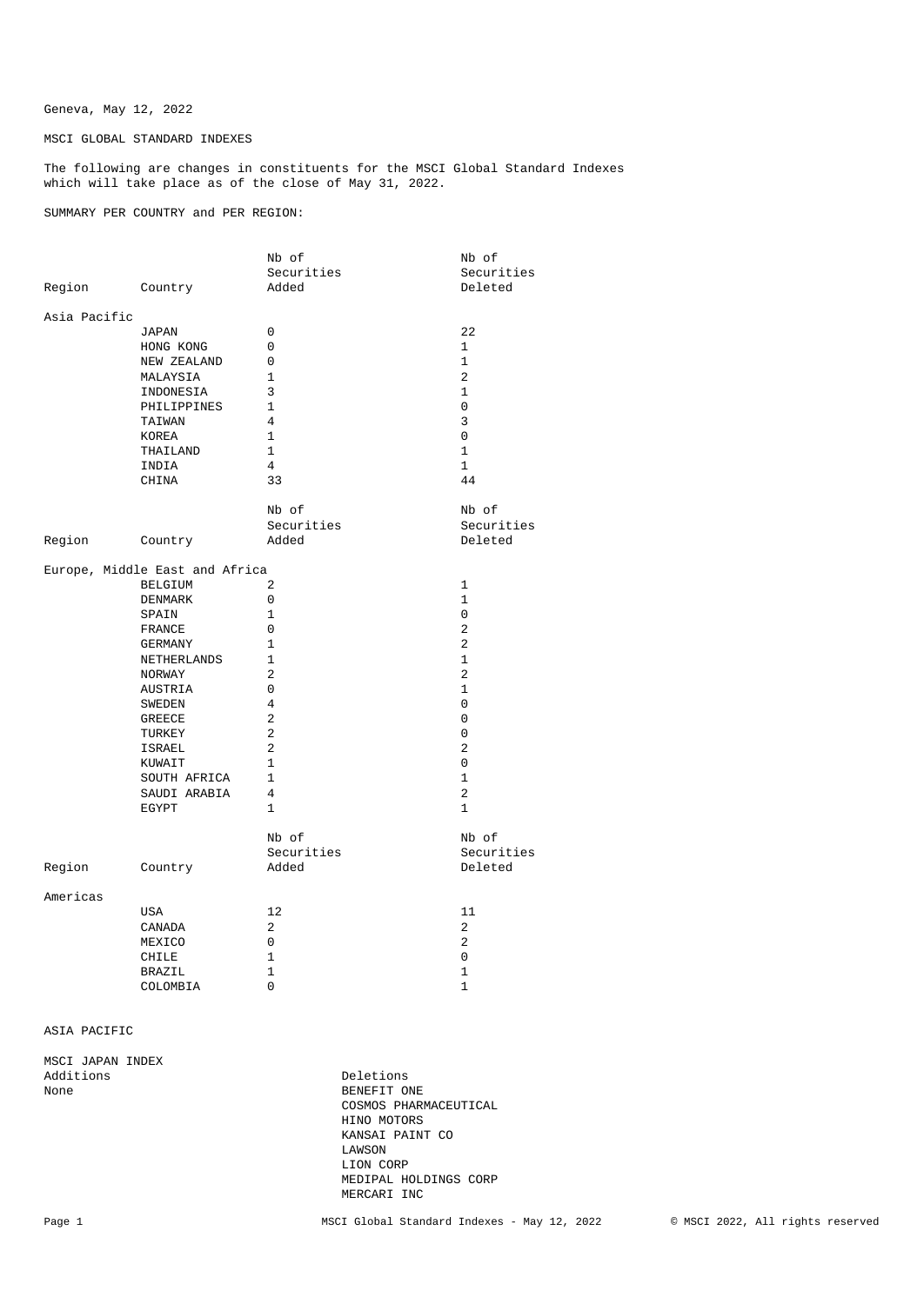Geneva, May 12, 2022

MSCI GLOBAL STANDARD INDEXES

The following are changes in constituents for the MSCI Global Standard Indexes which will take place as of the close of May 31, 2022.

SUMMARY PER COUNTRY and PER REGION:

|                                |              | Nb of          | Nb of          |
|--------------------------------|--------------|----------------|----------------|
|                                |              | Securities     | Securities     |
| Region Country                 |              | Added          | Deleted        |
| Asia Pacific                   |              |                |                |
|                                | JAPAN        | $\mathbf 0$    | 22             |
|                                | HONG KONG    | 0              | $\mathbf{1}$   |
|                                | NEW ZEALAND  | $\mathbf 0$    | $\mathbf{1}$   |
|                                | MALAYSIA     | $\mathbf{1}$   | 2              |
|                                | INDONESIA    | 3              | $\mathbf{1}$   |
|                                | PHILIPPINES  | $\mathbf{1}$   | 0              |
|                                | TAIWAN       | $\overline{4}$ | 3              |
|                                | KOREA        | $\mathbf{1}$   | 0              |
|                                | THAILAND     | $\mathbf{1}$   | $\mathbf{1}$   |
|                                | INDIA        | 4              | $\mathbf{1}$   |
|                                | CHINA        | 33             | 44             |
|                                |              |                |                |
|                                |              | Nb of          | Nb of          |
|                                |              | Securities     | Securities     |
| Region                         | Country      | Added          | Deleted        |
|                                |              |                |                |
| Europe, Middle East and Africa |              |                |                |
|                                | BELGIUM      | 2              | $\mathbf{1}$   |
|                                | DENMARK      | $\Omega$       | $\mathbf{1}$   |
|                                | SPAIN        | $\mathbf{1}$   | 0              |
|                                | FRANCE       | $\mathbf 0$    | 2              |
|                                | GERMANY      | $\mathbf{1}$   | $\overline{2}$ |
|                                | NETHERLANDS  | $\mathbf{1}$   | $\mathbf{1}$   |
|                                | NORWAY       | 2              | $\overline{c}$ |
|                                | AUSTRIA      | 0              | $\mathbf{1}$   |
|                                | SWEDEN       | $\overline{4}$ | 0              |
|                                | GREECE       | 2              | 0              |
|                                | TURKEY       | 2              | 0              |
|                                | ISRAEL       | $\mathbf{2}$   | $\overline{c}$ |
|                                | KUWAIT       | $\mathbf{1}$   | $\mathbf{0}$   |
|                                | SOUTH AFRICA | $\mathbf{1}$   | $\mathbf{1}$   |
|                                | SAUDI ARABIA | 4              | 2              |
|                                | EGYPT        | $\mathbf{1}$   | $\mathbf{1}$   |
|                                |              |                |                |
|                                |              | Nb of          | Nb of          |
|                                |              | Securities     | Securities     |
| Region                         | Country      | Added          | Deleted        |
| Americas                       |              |                |                |
|                                | USA          | 12             | 11             |
|                                | CANADA       | 2              | 2              |
|                                | MEXICO       | 0              | 2              |
|                                | CHILE        | 1              | 0              |
|                                | BRAZIL       | $\mathbf{1}$   | 1              |
|                                | COLOMBIA     | $\Omega$       | $\mathbf{1}$   |

ASIA PACIFIC

MSCI JAPAN INDEX

Additions Deletions Deletions Deletions and Deletions Deletions Deletions Deletions Deletions Deletions Deletions Deletions Deletions Deletions Deletions Deletions Deletions Deletions Deletions Deletions Deletions Deletion BENEFIT ONE COSMOS PHARMACEUTICAL HINO MOTORS KANSAI PAINT CO LAWSON LION CORP MEDIPAL HOLDINGS CORP MERCARI INC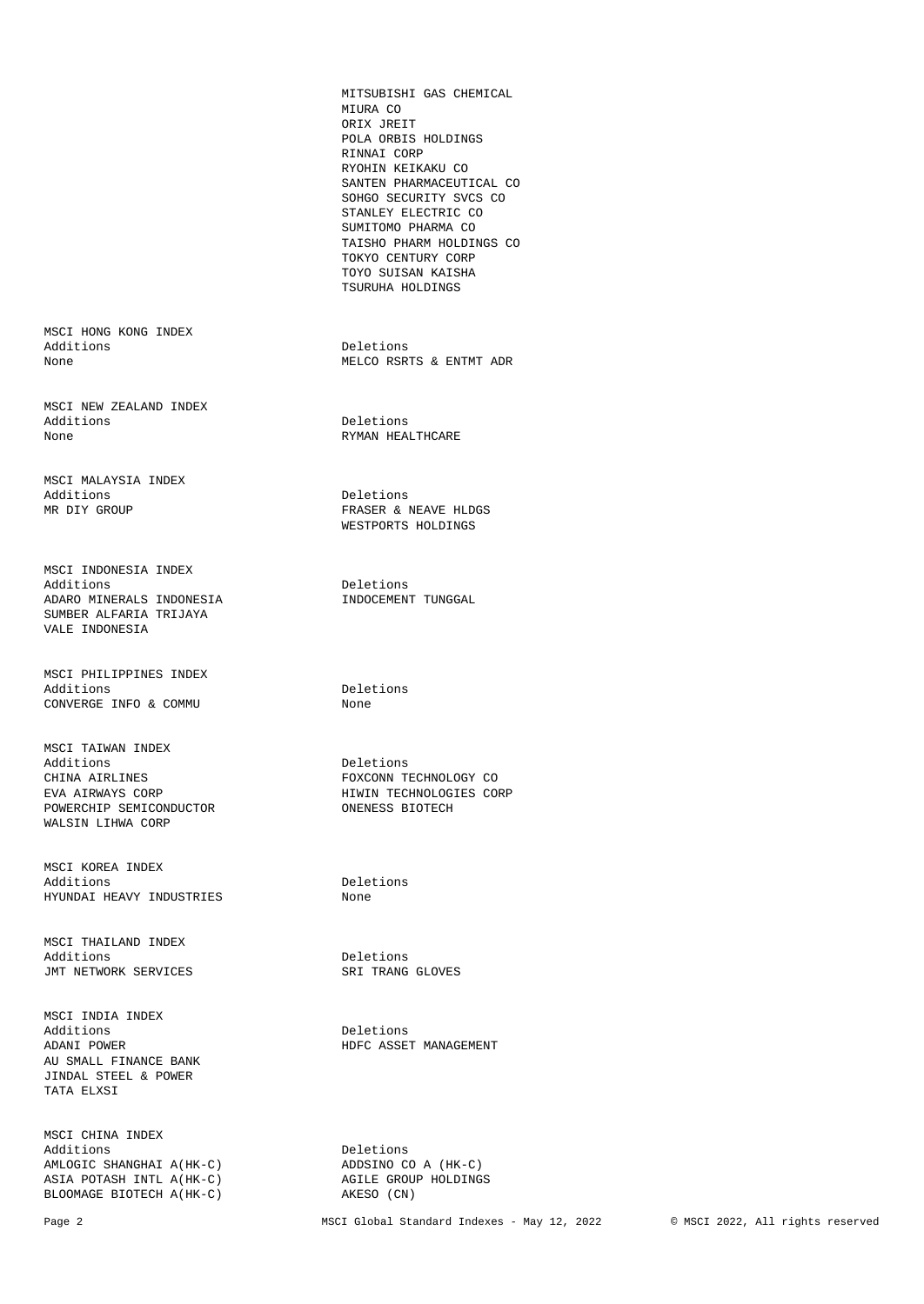MITSUBISHI GAS CHEMICAL MIURA CO ORIX JREIT POLA ORBIS HOLDINGS RINNAI CORP RYOHIN KEIKAKU CO SANTEN PHARMACEUTICAL CO SOHGO SECURITY SVCS CO STANLEY ELECTRIC CO SUMITOMO PHARMA CO TAISHO PHARM HOLDINGS CO TOKYO CENTURY CORP TOYO SUISAN KAISHA TSURUHA HOLDINGS

MELCO RSRTS & ENTMT ADR

RYMAN HEALTHCARE

FRASER & NEAVE HLDGS WESTPORTS HOLDINGS

Deletions<br>INDOCEMENT TUNGGAL

EVA AIRWAYS CORP HIWIN TECHNOLOGIES CORP

Page 2 MSCI Global Standard Indexes - May 12, 2022 © MSCI 2022, All rights reserved

MSCI HONG KONG INDEX Additions Deletions Deletions Deletions None

MSCI NEW ZEALAND INDEX Additions Deletions Deletions Deletions None

MSCI MALAYSIA INDEX Additions Deletions Deletions<br>MR DIY GROUP CONTRASER & 1

MSCI INDONESIA INDEX<br>Additions ADARO MINERALS INDONESIA SUMBER ALFARIA TRIJAYA VALE INDONESIA

MSCI PHILIPPINES INDEX Additions Deletions<br>
CONVERGE INFO & COMMU None None  $CONVERGE$  INFO & COMMU

MSCI TAIWAN INDEX Additions Deletions CHINA AIRLINES FOXCONN TECHNOLOGY CO POWERCHIP SEMICONDUCTOR WALSIN LIHWA CORP

MSCI KOREA INDEX Additions Deletions HYUNDAI HEAVY INDUSTRIES None

MSCI THAILAND INDEX Additions<br>
TMT NETWORK SERVICES THE SERIES SRI TRANG GLOVES JMT NETWORK SERVICES

MSCI INDIA INDEX Additions Deletions ADANI POWER HDFC ASSET MANAGEMENT AU SMALL FINANCE BANK JINDAL STEEL & POWER TATA ELXSI

MSCI CHINA INDEX Additions<br>
AMLOGIC SHANGHAI A(HK-C) ADDSINO CO A (HK-C) AMLOGIC SHANGHAI A(HK-C) <br>ASIA POTASH INTL A(HK-C) <br>AGILE GROUP HOLDINGS ASIA POTASH INTL $A(HK-C)$  agile GROU BLOOMAGE BIOTECH  $A(HK-C)$  AKESO (CN) BLOOMAGE BIOTECH A(HK-C)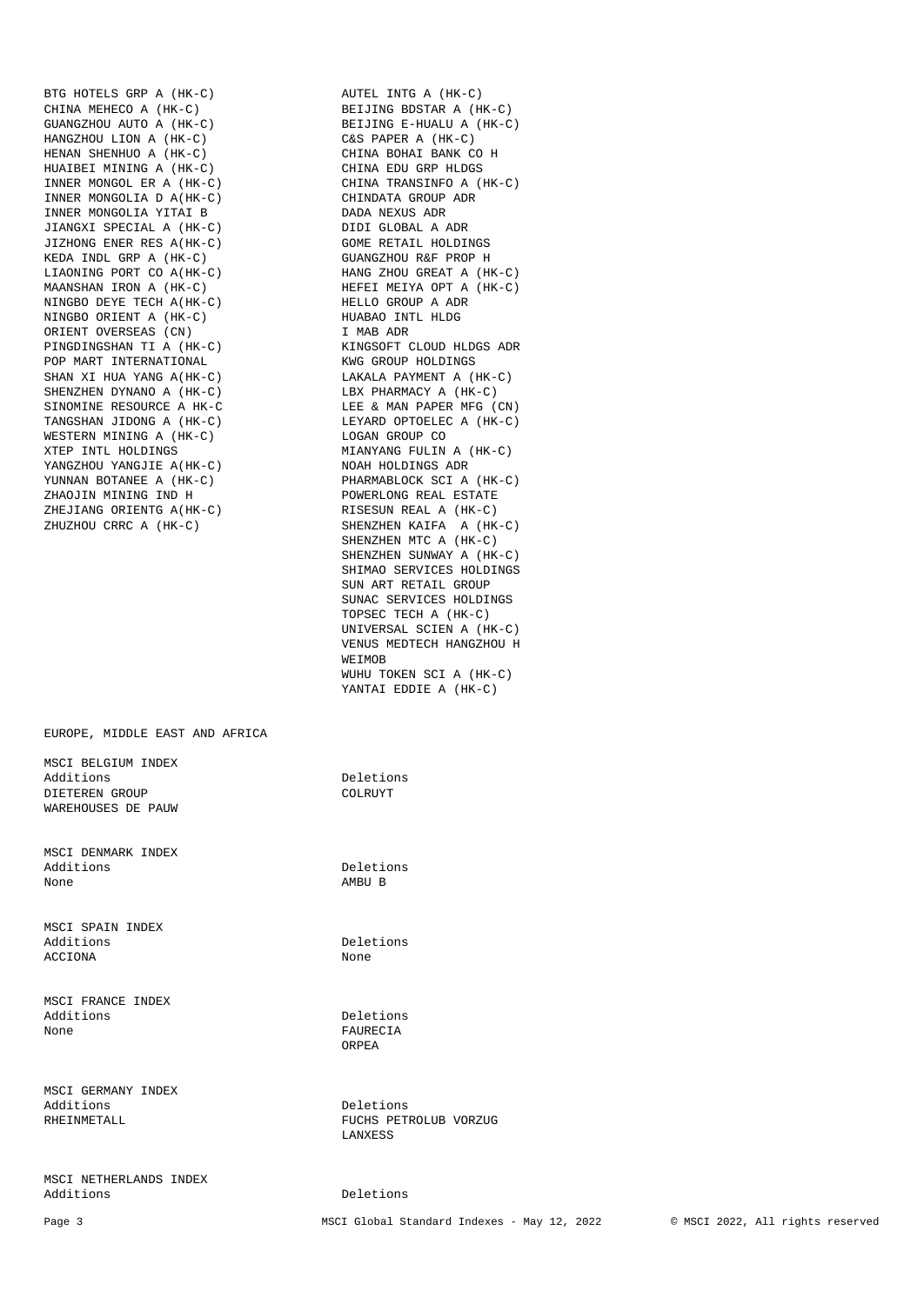BTG HOTELS GRP A (HK-C) <br>CHINA MEHECO A (HK-C) BEIJING BDSTAR A (HK-C) CHINA MEHECO A (HK-C) BEIJING BDSTAR A (HK-C) GUANGZHOU AUTO A (HK-C) BEIJING E-HUALU A (HK-C) HANGZHOU LION A (HK-C) C&S PAPER A (HK-C) HENAN SHENHUO A (HK-C)<br>HENAN SHENHUO A (HK-C) CHINA BOHAI BANK CO H<br>CHINA EDU GRP HLDGS HUAIBEI MINING A (HK-C)<br>INNER MONGOL ER A (HK-C) INNER MONGOLIA D A(HK-C) CHINDATA GROUP INNER MONGOLIA YITAI B INNER MONGOLIA YITAI B DADA NEXUS ADR JIANGXI SPECIAL A (HK-C)<br>JIZHONG ENER RES A(HK-C) JIZHONG ENER RES A(HK-C) GOME RETAIL HOLDINGS KEDA INDL GRP A (HK-C) GUANGZHOU R&F PROP H LIAONING PORT CO A(HK-C) HANG ZHOU GREAT A (HK-C) MAANSHAN IRON A (HK-C) HEFEI MEIYA OPT A (HK-C) NINGBO DEYE TECH A(HK-C) HELLO GROUP A ADR NINGBO DEYE TECH A (HK-C) NINGBO ORIENT A (HK-C) HUABAO INTL HLDG ORIENT OVERSEAS (CN) I MAB ADR PINGDINGSHAN TI A (HK-C) KINGSOFT CLOUD HLDGSHAN TI A (HK-C) KINGSOFT CLOUD HOLDINGS POP MART INTERNATIONAL SHAN XI HUA YANG A(HK-C) LAKALA PAYMENT A (HK-C) SHENZHEN DYNANO A (HK-C) LBX PHARMACY A (HK-C) SINOMINE RESOURCE A HK-C LEE & MAN PAPER MFG (CN) SINOMINE RESOURCE A HK-C LEE & MAN PAPER MFG (CN) TANGSHAN JIDONG A (HK-C) LEYARD OPTOELEC A (HK-C) WESTERN MINING A (HK-C) XTEP INTL HOLDINGS<br>
YANGZHOU YANGJIE A(HK-C) MOAH HOLDINGS ADR YANGZHOU YANGJIE A(HK-C) YUNNAN BOTANEE A (HK-C) PHARMABLOCK SCI A (HK-C) ZHAOJIN MINING IND H POWERLONG REAL ESTATE CHEJIANG ORIENTG A(HK-C) ZHEJIANG ORIENTG A (HK-C) ZHUZHOU CRRC A (HK-C) SHENZHEN KAIFA A (HK-C)

EUROPE, MIDDLE EAST AND AFRICA

MSCI BELGIUM INDEX Additions Deletions DIETEREN GROUP COLRUYT WAREHOUSES DE PAUW

MSCI DENMARK INDEX Additions Deletions None AMBU B

MSCI SPAIN INDEX Additions Deletions<br>ACCIONA None ACCIONA

MSCI FRANCE INDEX Additions Deletions None FAURECIA

MSCI GERMANY INDEX Additions Deletions

MSCI NETHERLANDS INDEX

CHINA TRANSINFO A (HK-C)<br>CHINDATA GROUP ADR SHENZHEN MTC A (HK-C) SHENZHEN SUNWAY A (HK-C) SHIMAO SERVICES HOLDINGS SUN ART RETAIL GROUP SUNAC SERVICES HOLDINGS TOPSEC TECH A (HK-C) UNIVERSAL SCIEN A (HK-C) VENUS MEDTECH HANGZHOU H WEIMOB WUHU TOKEN SCI A (HK-C) YANTAI EDDIE A (HK-C)

**ORPEA** 

RHEINMETALL **FUCHS** PETROLUB VORZUG LANXESS

#### Deletions

Page 3 MSCI Global Standard Indexes - May 12, 2022 © MSCI 2022, All rights reserved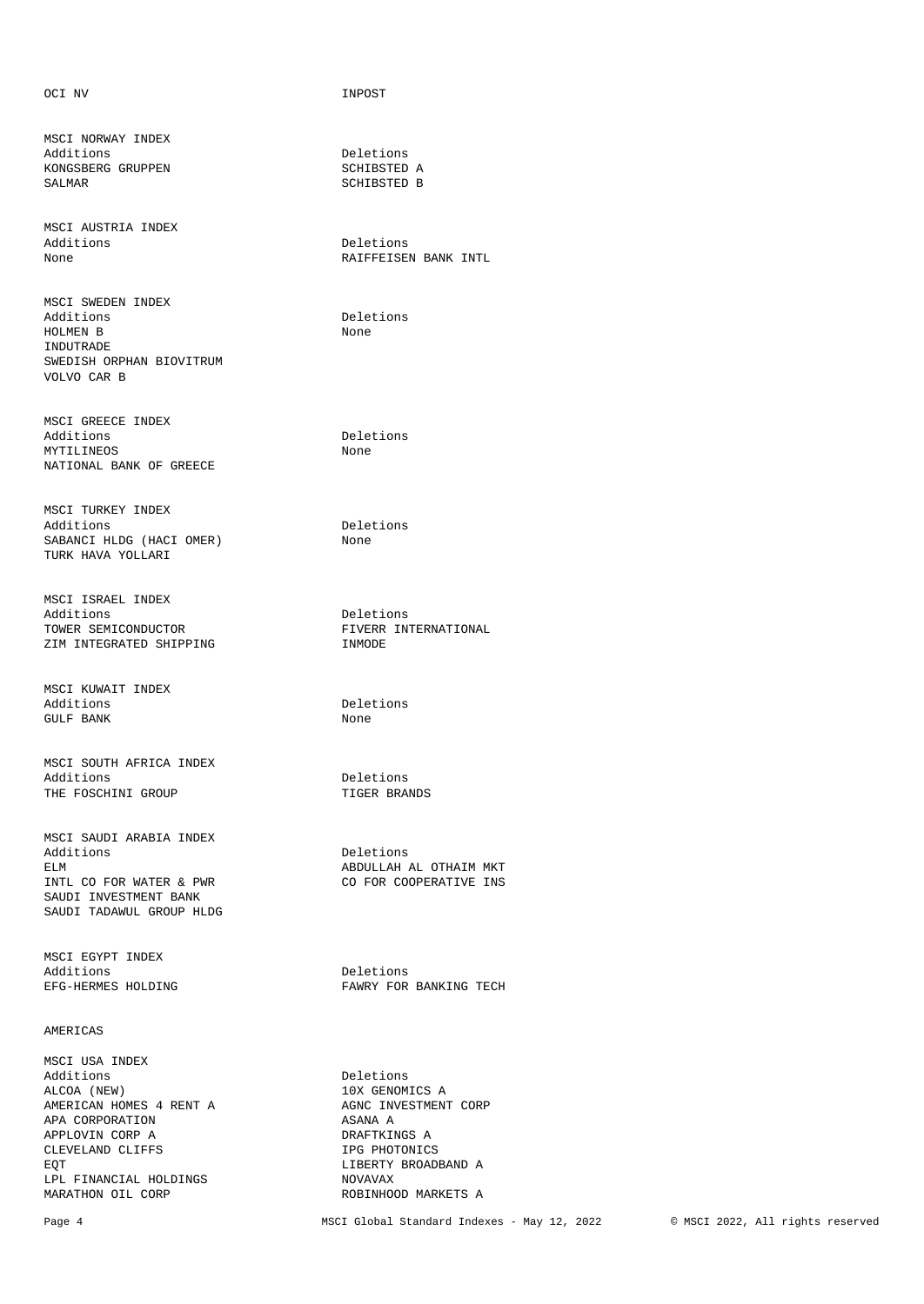OCI NV INPOST

MSCI NORWAY INDEX Additions Deletions KONGSBERG GRUPPEN SCHIBSTED A SALMAR SCHIBSTED B

MSCI AUSTRIA INDEX Additions Deletions Deletions Deletions and Deletions Deletions of the Deletions of the Deletions of the Deletions of the Deletions of the Deletions of the Deletions of the Deletions of the Deletions of the Deletions of th

MSCI SWEDEN INDEX HOLMEN B None INDUTRADE SWEDISH ORPHAN BIOVITRUM VOLVO CAR B

MSCI GREECE INDEX Additions Deletions MYTILINEOS None NATIONAL BANK OF GREECE

MSCI TURKEY INDEX Additions Deletions SABANCI HLDG (HACI OMER) None TURK HAVA YOLLARI

MSCI ISRAEL INDEX Additions Deletions TOWER SEMICONDUCTOR FIVERR INTERNATIONAL SIM INTEGRATED SHIPPING FOR STANDING TIMMODE ZIM INTEGRATED SHIPPING

MSCI KUWAIT INDEX GULF BANK None

MSCI SOUTH AFRICA INDEX Additions Deletions THE FOSCHINI GROUP **TIGER BRANDS** 

MSCI SAUDI ARABIA INDEX Additions Deletions ELM ABDULLAH AL OTHAIM MKT INTL CO FOR WATER & PWR SAUDI INVESTMENT BANK SAUDI TADAWUL GROUP HLDG

MSCI EGYPT INDEX Additions Deletions

## AMERICAS

MSCI USA INDEX Additions Deletions Deletions and the Deletions of the Deletions of the Deletions of the Deletions of the Deletions of the Deletions of the Deletions of the Deletions of the Deletions of the Deletions of the Deletions of t AMERICAN HOMES 4 RENT A AGNC INVESTMENT CORP APA CORPORATION ASANA A APPLOVIN CORP A DRAFTKINGS A CLEVELAND CLIFFS **IPG PHOTONICS** EQT LIBERTY BROADBAND A LPL FINANCIAL HOLDINGS<br>MARATHON OIL CORP

SCHIBSTED B

RAIFFEISEN BANK INTL

Deletions

Deletions

EFG-HERMES HOLDING **FAWRY FOR BANKING TECH** 

10X GENOMICS A ROBINHOOD MARKETS A

Page 4 MSCI Global Standard Indexes - May 12, 2022 © MSCI 2022, All rights reserved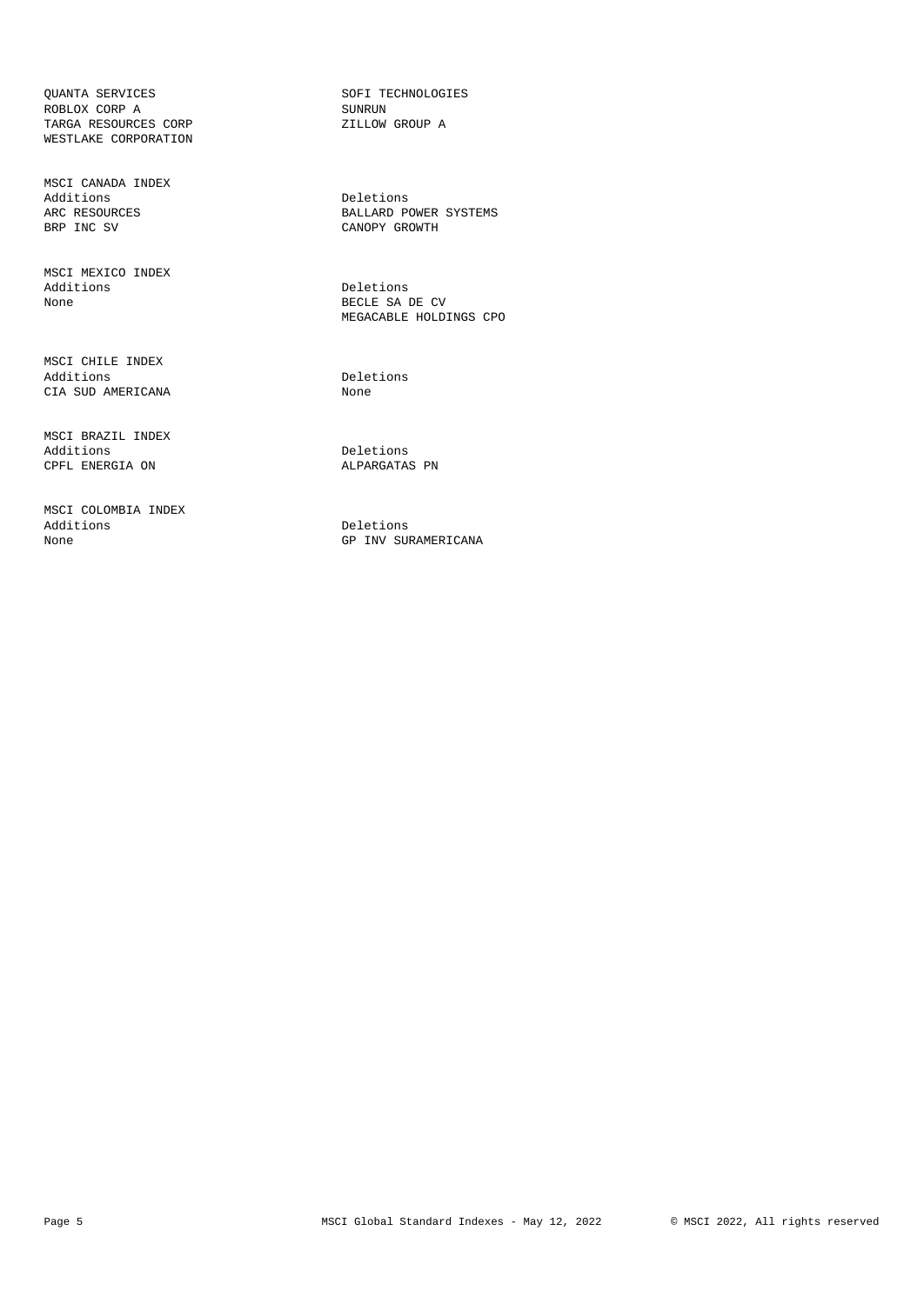QUANTA SERVICES SOFI TECHNOLOGIES ROBLOX CORP A ROBLOX CORP A SUNRUN SUNRUN TARGA RESOURCES CORP A SUNRUN ZILLOW GROUP A TARGA RESOURCES CORP WESTLAKE CORPORATION

MSCI CANADA INDEX Additions Deletions Deletions<br>ARC RESOURCES BALLARD P

MSCI MEXICO INDEX None BECLE SA DE CV

MSCI CHILE INDEX Additions Deletions CIA SUD AMERICANA None

MSCI BRAZIL INDEX Additions Deletions CPFL ENERGIA ON

MSCI COLOMBIA INDEX Additions Deletions Deletions Deletions and Deletions Deletions of the Material Service of the Material Service of the Material Service of the Material Service of the Material Service of the Material Service of the Materia

ARC RESOURCES BALLARD POWER SYSTEMS CANOPY GROWTH

> Deletions MEGACABLE HOLDINGS CPO

GP INV SURAMERICANA